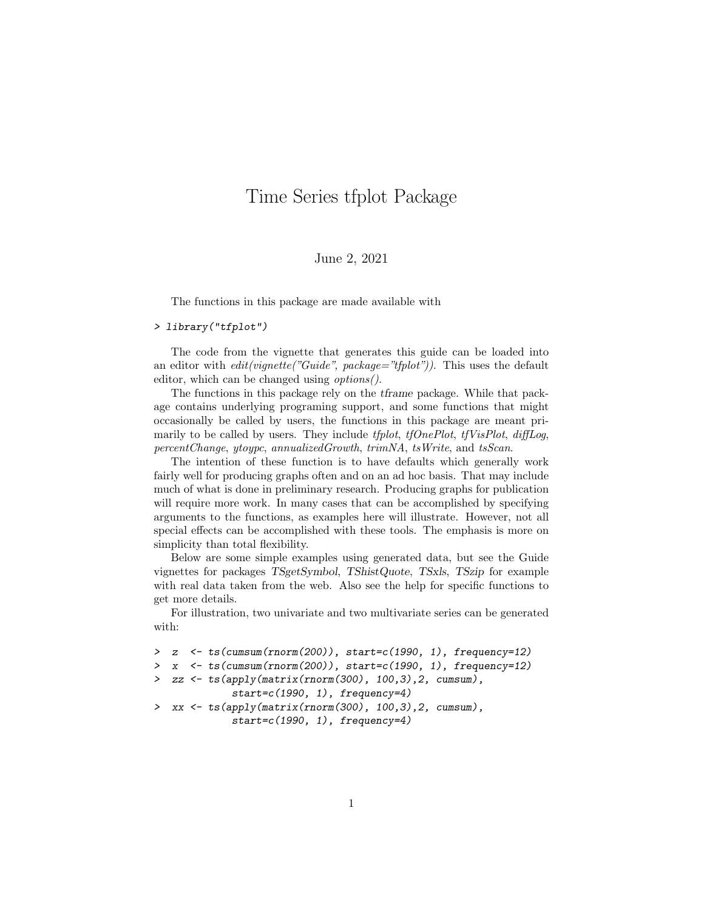## Time Series tfplot Package

## June 2, 2021

The functions in this package are made available with

## > library("tfplot")

The code from the vignette that generates this guide can be loaded into an editor with  $edit(vignette("Guide", package="tfplot"))$ . This uses the default editor, which can be changed using options().

The functions in this package rely on the tframe package. While that package contains underlying programing support, and some functions that might occasionally be called by users, the functions in this package are meant primarily to be called by users. They include *tfplot*, *tfOnePlot*, *tfVisPlot*, *diffLog*, percentChange, ytoypc, annualizedGrowth, trimNA, tsWrite, and tsScan.

The intention of these function is to have defaults which generally work fairly well for producing graphs often and on an ad hoc basis. That may include much of what is done in preliminary research. Producing graphs for publication will require more work. In many cases that can be accomplished by specifying arguments to the functions, as examples here will illustrate. However, not all special effects can be accomplished with these tools. The emphasis is more on simplicity than total flexibility.

Below are some simple examples using generated data, but see the Guide vignettes for packages TSgetSymbol, TShistQuote, TSxls, TSzip for example with real data taken from the web. Also see the help for specific functions to get more details.

For illustration, two univariate and two multivariate series can be generated with:

```
> z <- ts(cumsum(rnorm(200)), start=c(1990, 1), frequency=12)
  x \leftarrow ts (cumsum(rnorm(200)), start=c(1990, 1), frequency=12)
> zz <- ts(apply(matrix(rnorm(300), 100,3),2, cumsum),
             start=c(1990, 1), frequency=4)
> xx <- ts(apply(matrix(rnorm(300), 100,3),2, cumsum),
             start=c(1990, 1), frequency=4)
```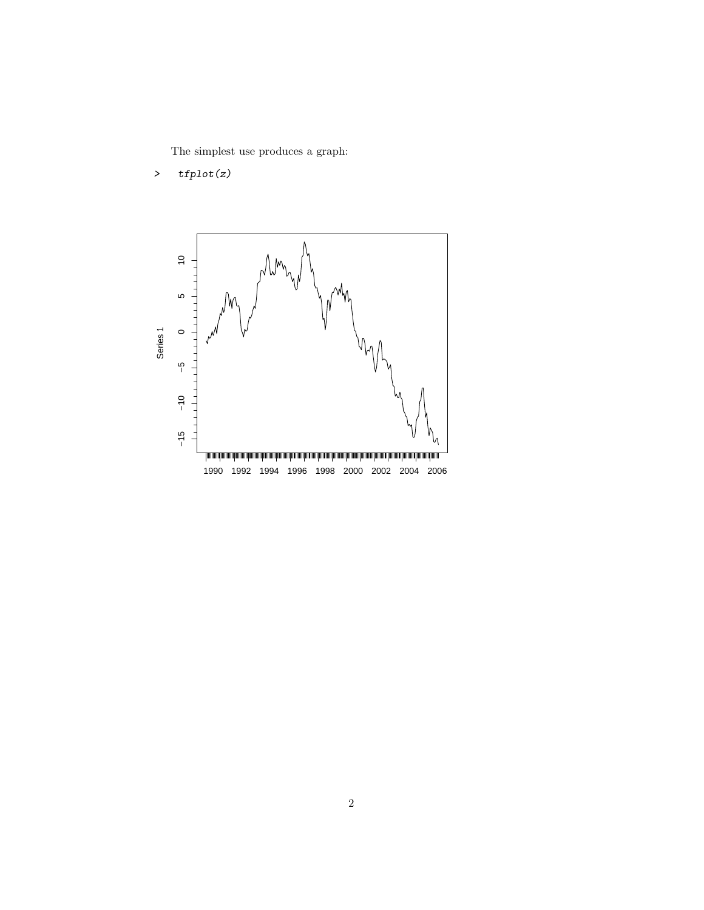The simplest use produces a graph:

 $\rightarrow$  tfplot(z)

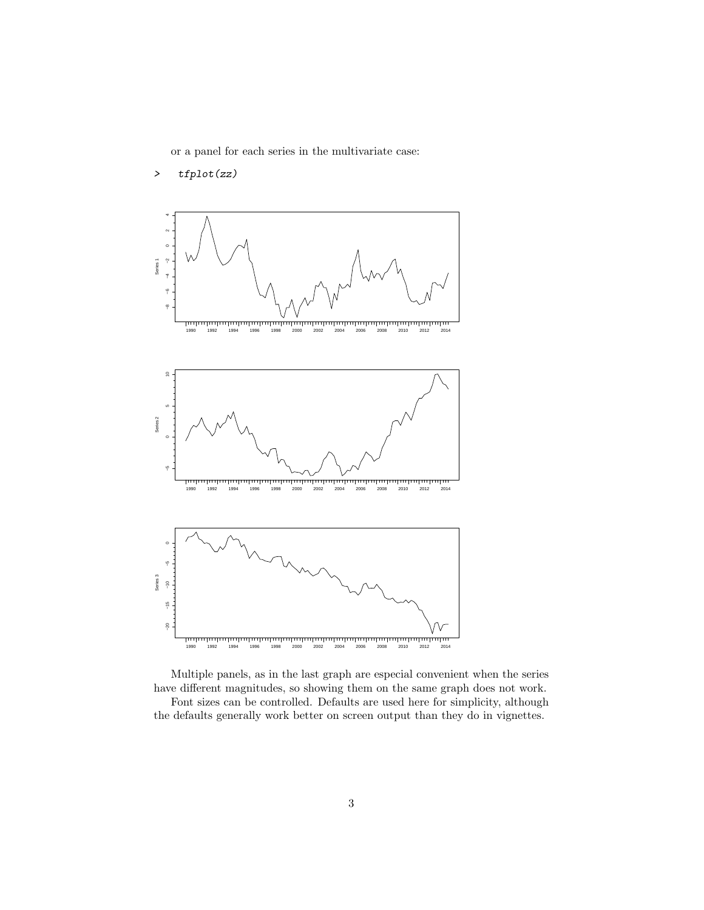or a panel for each series in the multivariate case:



> tfplot(zz)

Multiple panels, as in the last graph are especial convenient when the series have different magnitudes, so showing them on the same graph does not work.

Font sizes can be controlled. Defaults are used here for simplicity, although the defaults generally work better on screen output than they do in vignettes.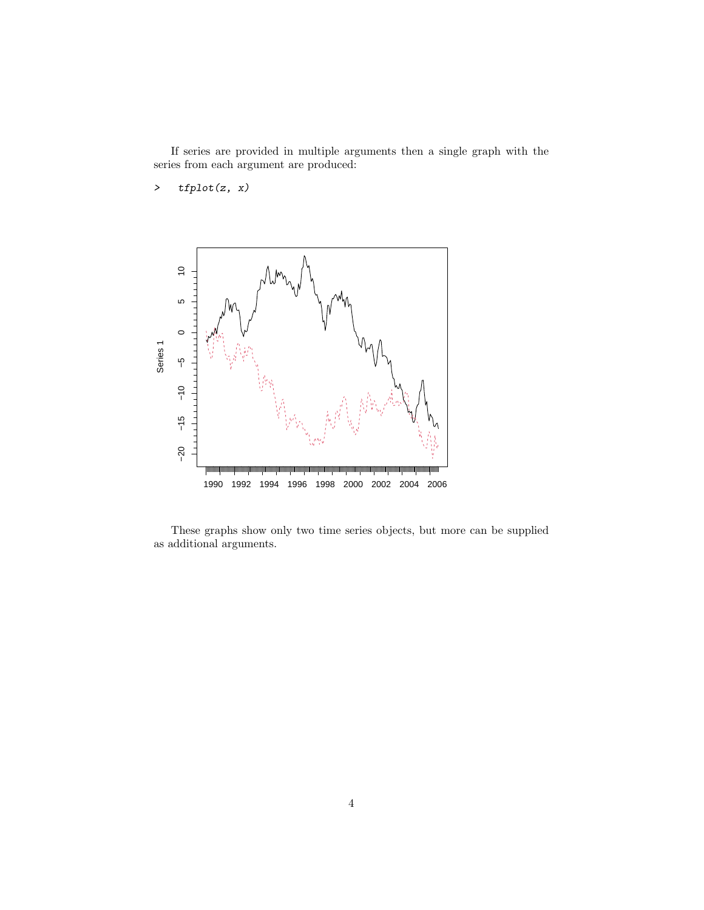If series are provided in multiple arguments then a single graph with the series from each argument are produced:

 $\rightarrow$  tfplot(z, x)



These graphs show only two time series objects, but more can be supplied as additional arguments.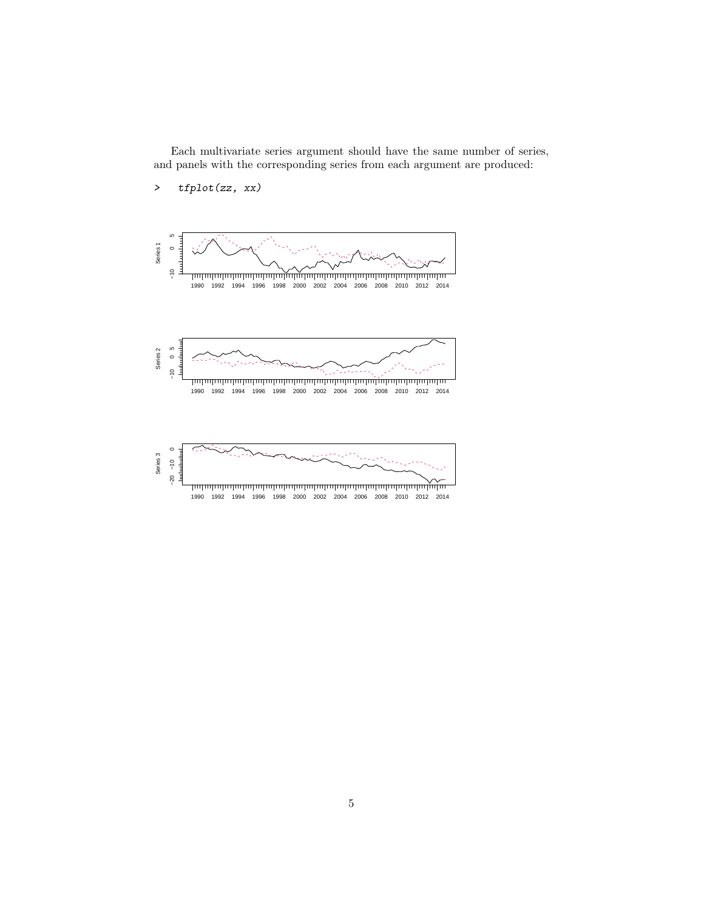Each multivariate series argument should have the same number of series, and panels with the corresponding series from each argument are produced:



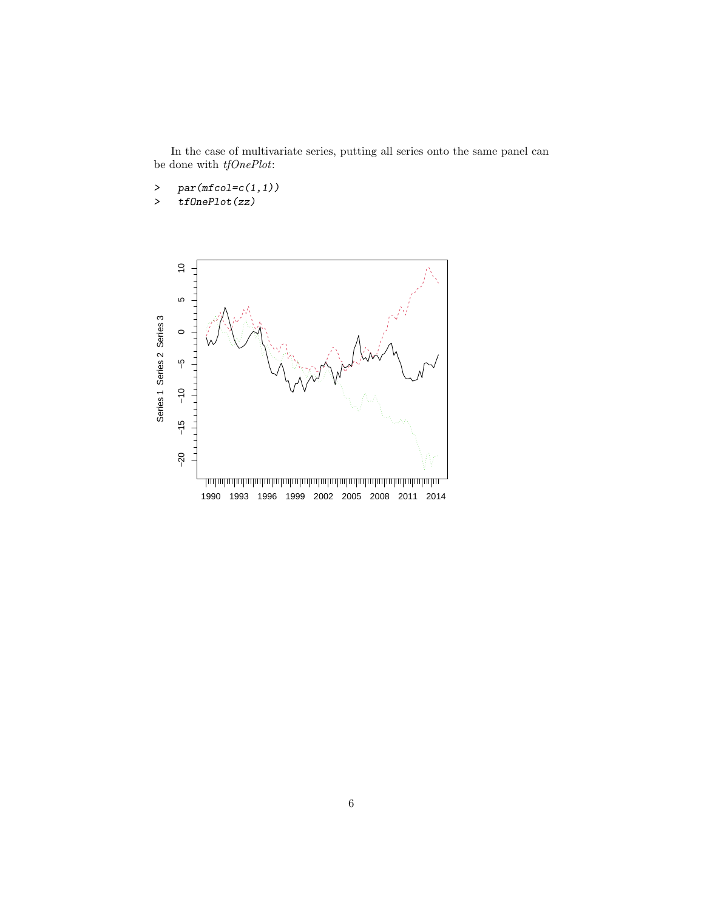In the case of multivariate series, putting all series onto the same panel can be done with  $\emph{tfOnePlot}:$ 

- >  $par(mfcol=c(1,1))$
- > tfOnePlot(zz)

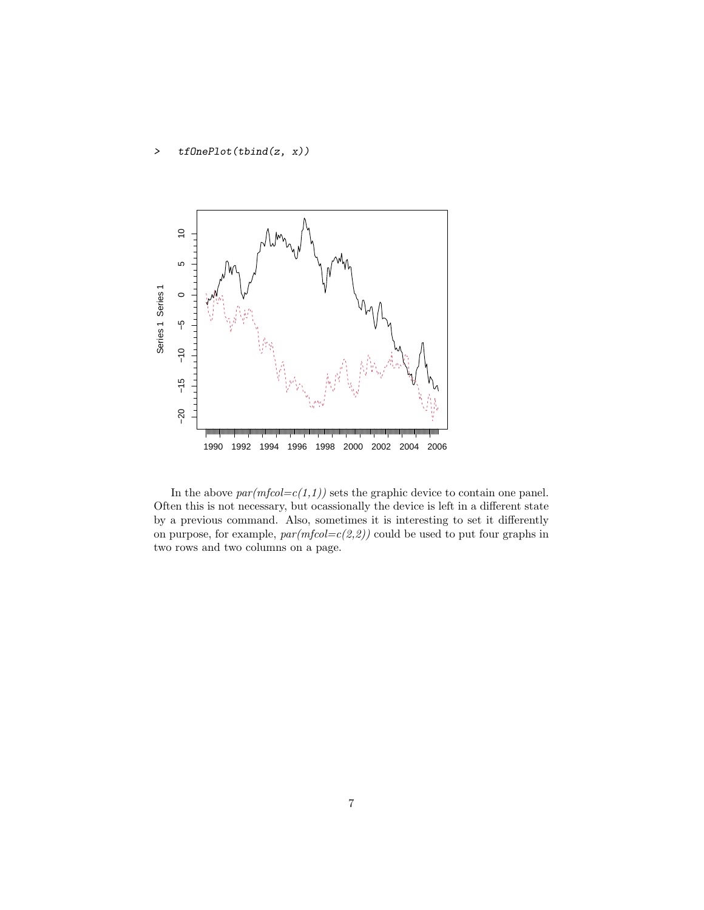

In the above  $par(mfcol = c(1,1))$  sets the graphic device to contain one panel. Often this is not necessary, but ocassionally the device is left in a different state by a previous command. Also, sometimes it is interesting to set it differently on purpose, for example,  $par(mfcol = c(2,2))$  could be used to put four graphs in two rows and two columns on a page.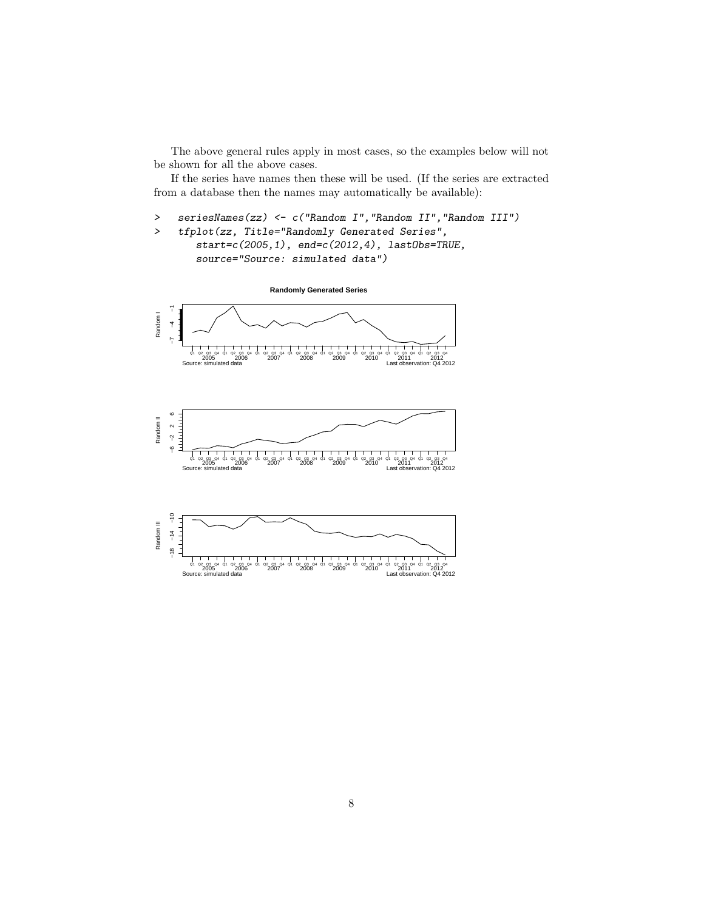The above general rules apply in most cases, so the examples below will not be shown for all the above cases.

If the series have names then these will be used. (If the series are extracted from a database then the names may automatically be available):

```
> seriesNames(zz) <- c("Random I","Random II","Random III")
```

```
> tfplot(zz, Title="Randomly Generated Series",
       start=c(2005,1), end=c(2012,4), lastObs=TRUE,
       source="Source: simulated data")
```
**Randomly Generated Series**

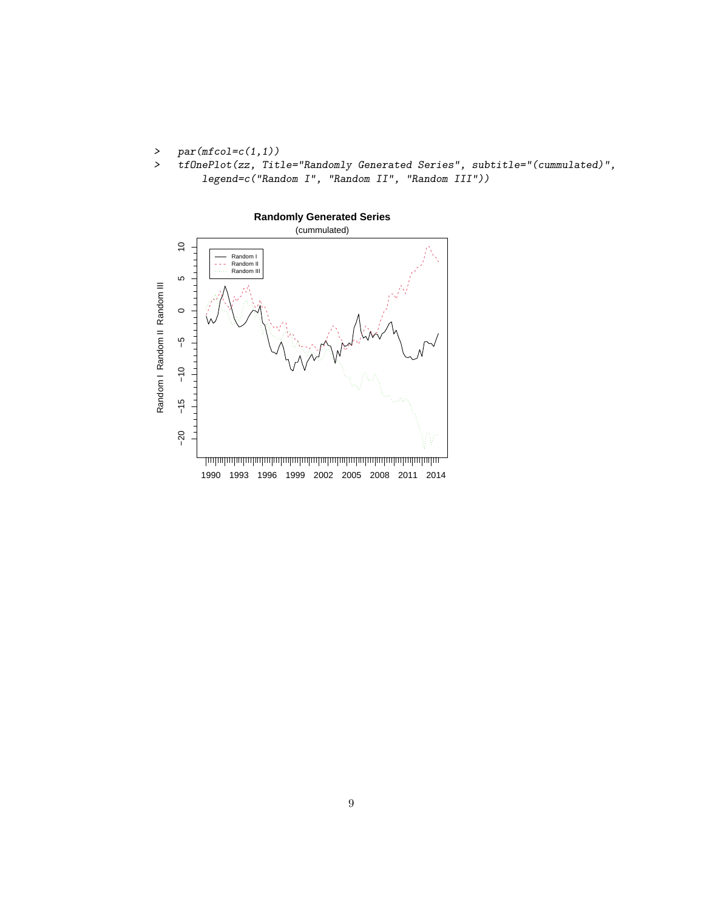- >  $par(mfcol=c(1,1))$
- > tfOnePlot(zz, Title="Randomly Generated Series", subtitle="(cummulated)", legend=c("Random I", "Random II", "Random III"))

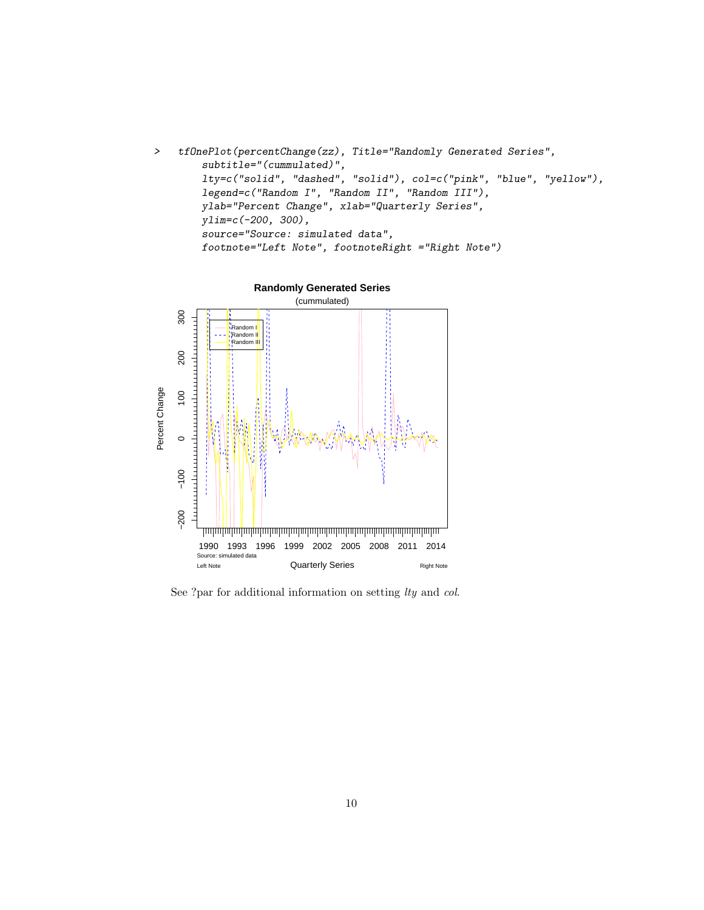```
> tfOnePlot(percentChange(zz), Title="Randomly Generated Series",
        subtitle="(cummulated)",
        lty=c("solid", "dashed", "solid"), col=c("pink", "blue", "yellow"),
        legend=c("Random I", "Random II", "Random III"),
        ylab="Percent Change", xlab="Quarterly Series",
        ylim=c(-200, 300),
        source="Source: simulated data",
        footnote="Left Note", footnoteRight ="Right Note")
```


See ?par for additional information on setting *lty* and *col*.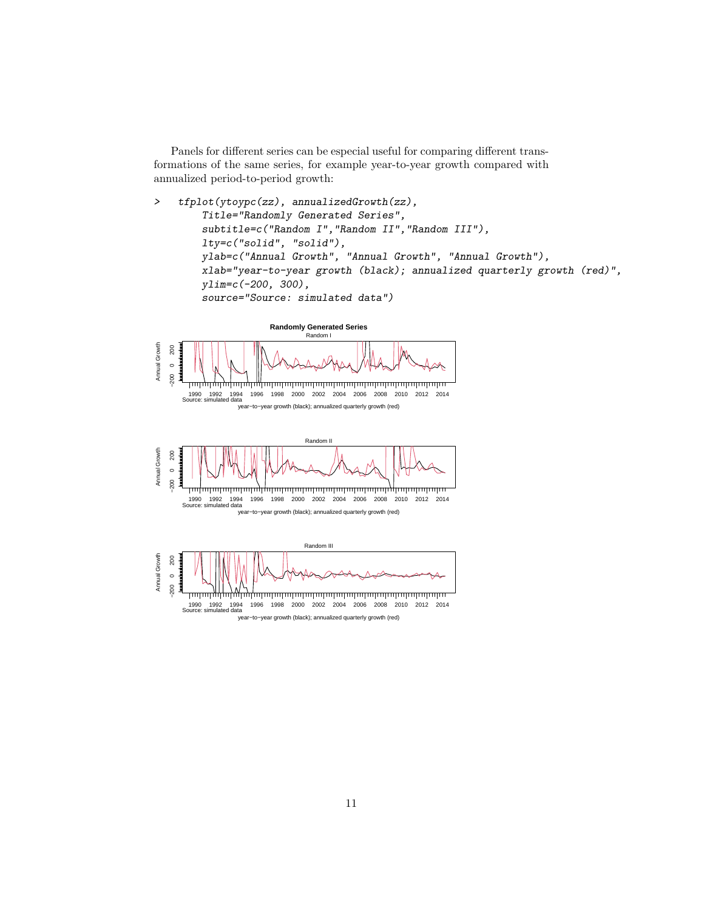Panels for different series can be especial useful for comparing different transformations of the same series, for example year-to-year growth compared with annualized period-to-period growth:

```
> tfplot(ytoypc(zz), annualizedGrowth(zz),
        Title="Randomly Generated Series",
        subtitle=c("Random I","Random II","Random III"),
        lty=c("solid", "solid"),
        ylab=c("Annual Growth", "Annual Growth", "Annual Growth"),
        xlab="year-to-year growth (black); annualized quarterly growth (red)",
        ylim=c(-200, 300),
        source="Source: simulated data")
```


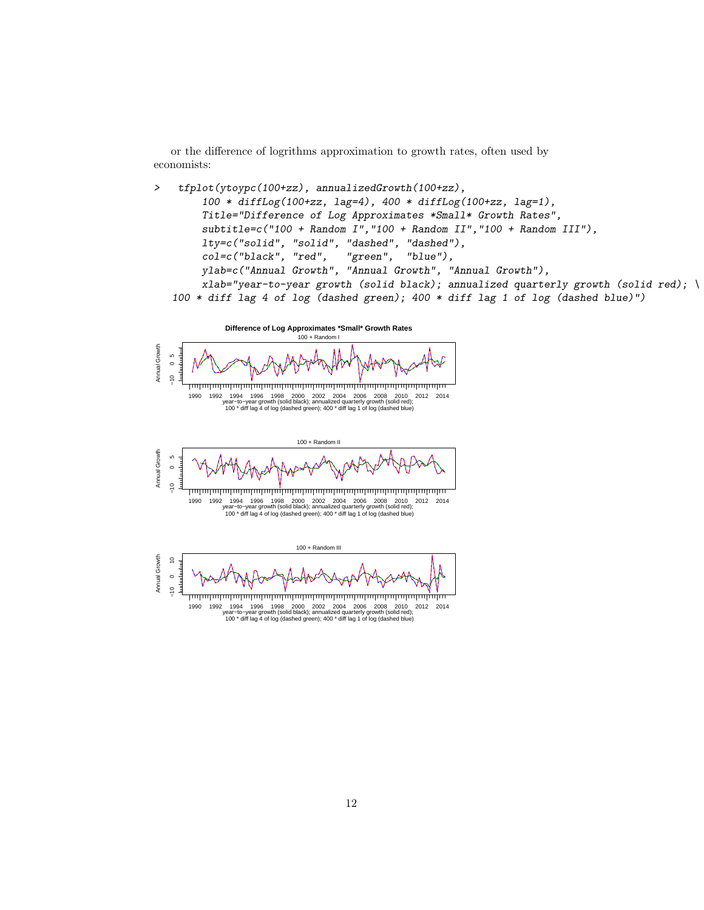or the difference of logrithms approximation to growth rates, often used by economists:

```
> tfplot(ytoypc(100+zz), annualizedGrowth(100+zz),
        100 * diffLog(100+zz, lag=4), 400 * diffLog(100+zz, lag=1),
        Title="Difference of Log Approximates *Small* Growth Rates",
       subtitle=c("100 + Random I", "100 + Random II", "100 + Random IIIlty=c("solid", "solid", "dashed", "dashed"),
        col=c("black", "red", "green", "blue"),
       ylab=c("Annual Growth", "Annual Growth", "Annual Growth"),
       xlab="year-to-year growth (solid black); annualized quarterly growth (solid red); \
  100 * diff lag 4 of log (dashed green); 400 * diff lag 1 of log (dashed blue)")
```


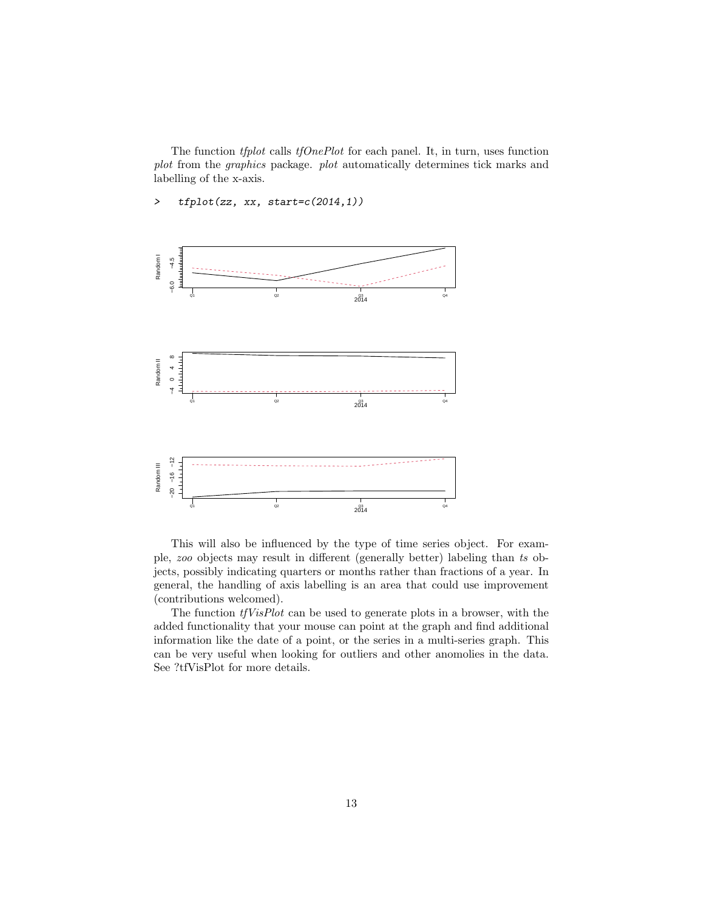The function *tfplot* calls *tfOnePlot* for each panel. It, in turn, uses function plot from the *graphics* package. plot automatically determines tick marks and labelling of the x-axis.



> tfplot(zz, xx, start=c(2014,1))

This will also be influenced by the type of time series object. For example, zoo objects may result in different (generally better) labeling than ts objects, possibly indicating quarters or months rather than fractions of a year. In general, the handling of axis labelling is an area that could use improvement (contributions welcomed).

The function *tfVisPlot* can be used to generate plots in a browser, with the added functionality that your mouse can point at the graph and find additional information like the date of a point, or the series in a multi-series graph. This can be very useful when looking for outliers and other anomolies in the data. See ?tfVisPlot for more details.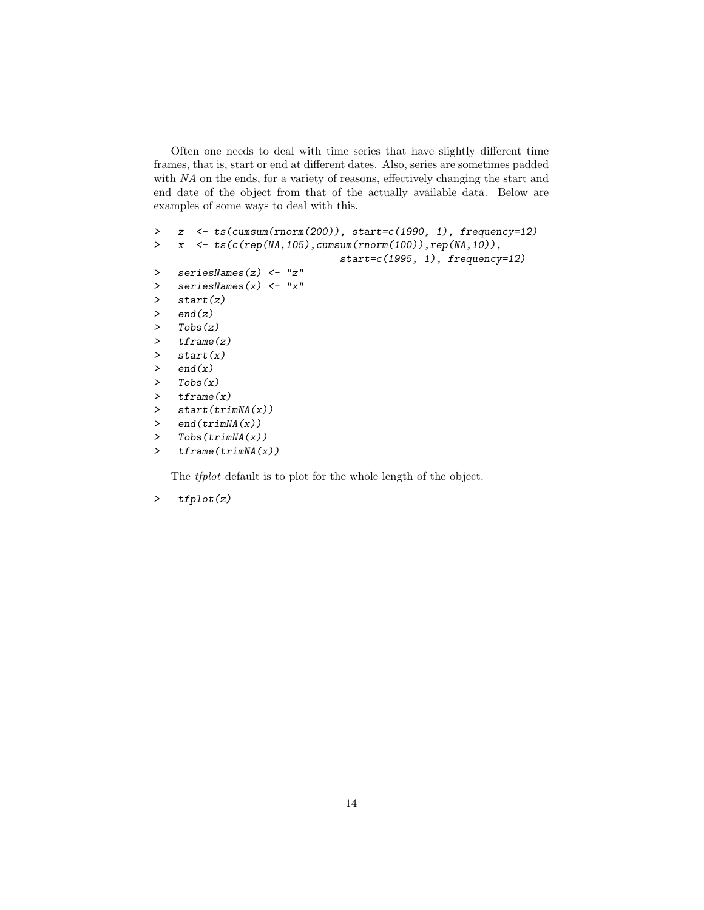Often one needs to deal with time series that have slightly different time frames, that is, start or end at different dates. Also, series are sometimes padded with NA on the ends, for a variety of reasons, effectively changing the start and end date of the object from that of the actually available data. Below are examples of some ways to deal with this.

```
> z <- ts(cumsum(rnorm(200)), start=c(1990, 1), frequency=12)
> x <- ts(c(rep(NA,105), cumsum(rnorm(100)), rep(NA,10)),
                             start=c(1995, 1), frequency=12)
> seriesNames(z) <- "z"
> seriesNames(x) <- "x"
> start(z)
> end(z)
> Tobs(z)
> tframe(z)
> start(x)
> end(x)> Tobs(x)> tframe(x)
> start(trimNA(x))
> end(trimNA(x))
> Tobs(trimNA(x))
> tframe(trimNA(x))
```
The tfplot default is to plot for the whole length of the object.

```
> tfplot(z)
```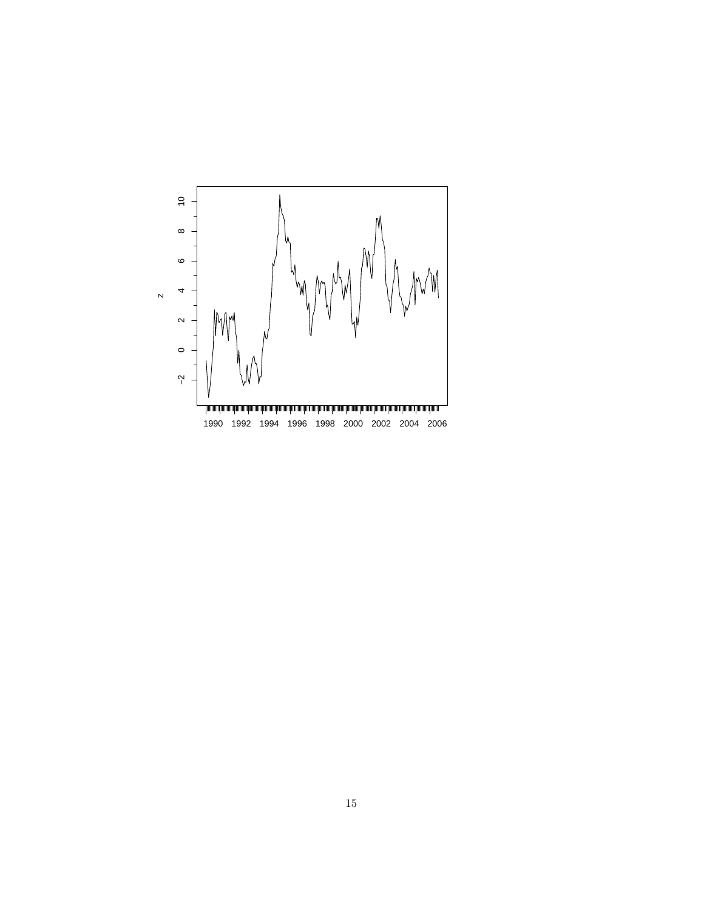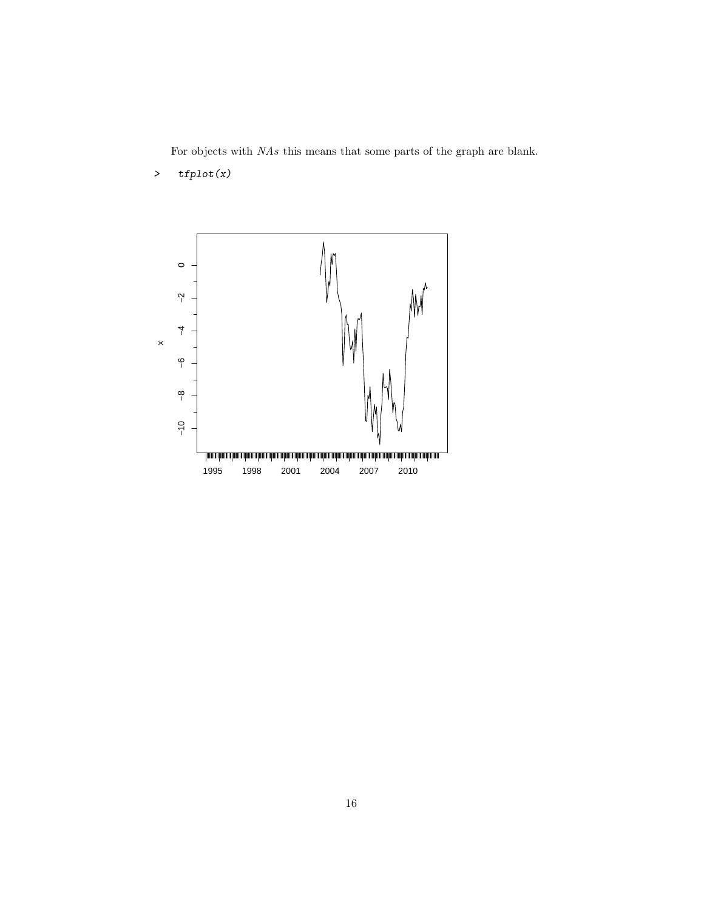For objects with  $\it{NAs}$  this means that some parts of the graph are blank.

 $\rightarrow$  tfplot(x)

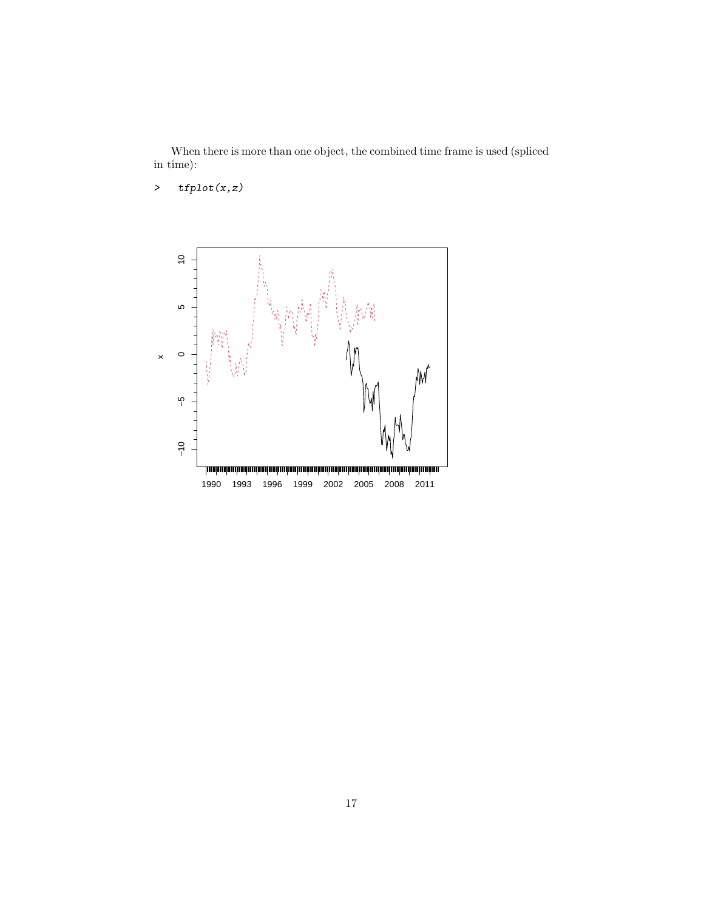When there is more than one object, the combined time frame is used (spliced in time):

 $\rightarrow$  tfplot(x,z)

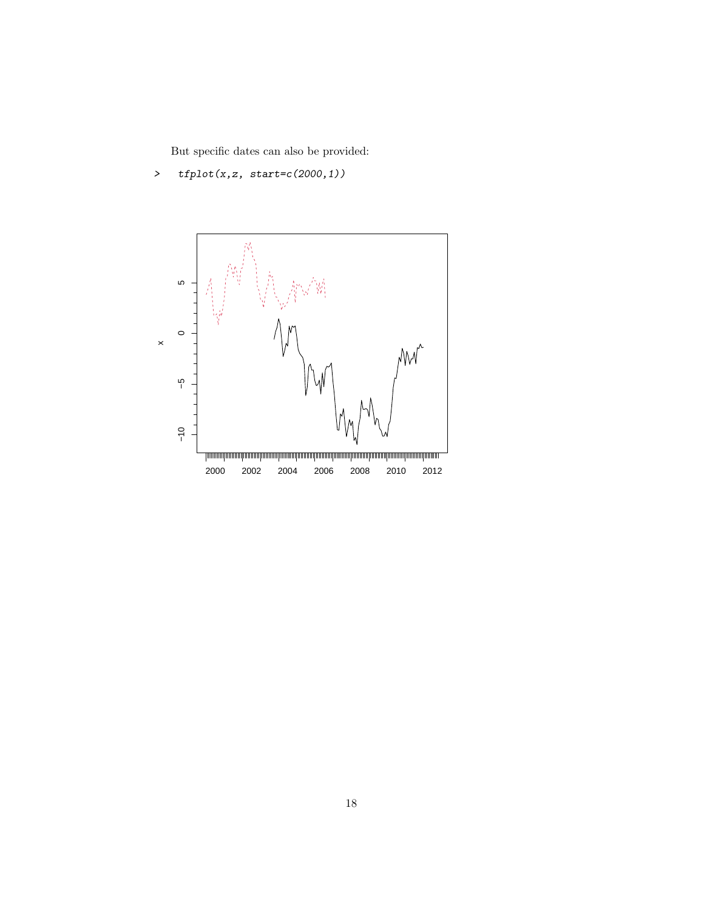But specific dates can also be provided:

>  $tfplot(x, z, start=c(2000, 1))$ 

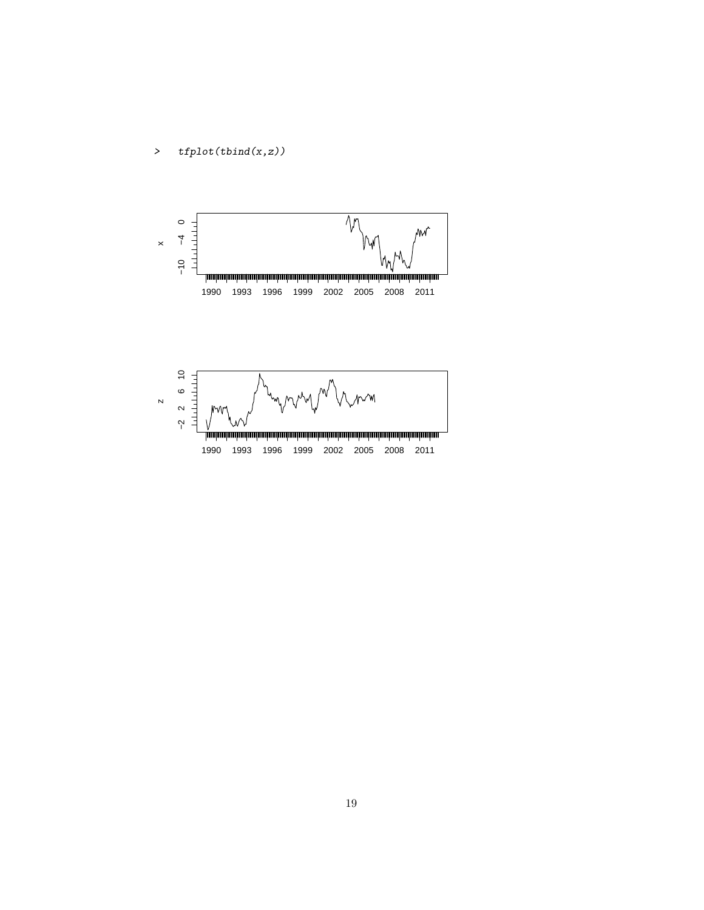$\rightarrow$  tfplot(tbind(x,z))



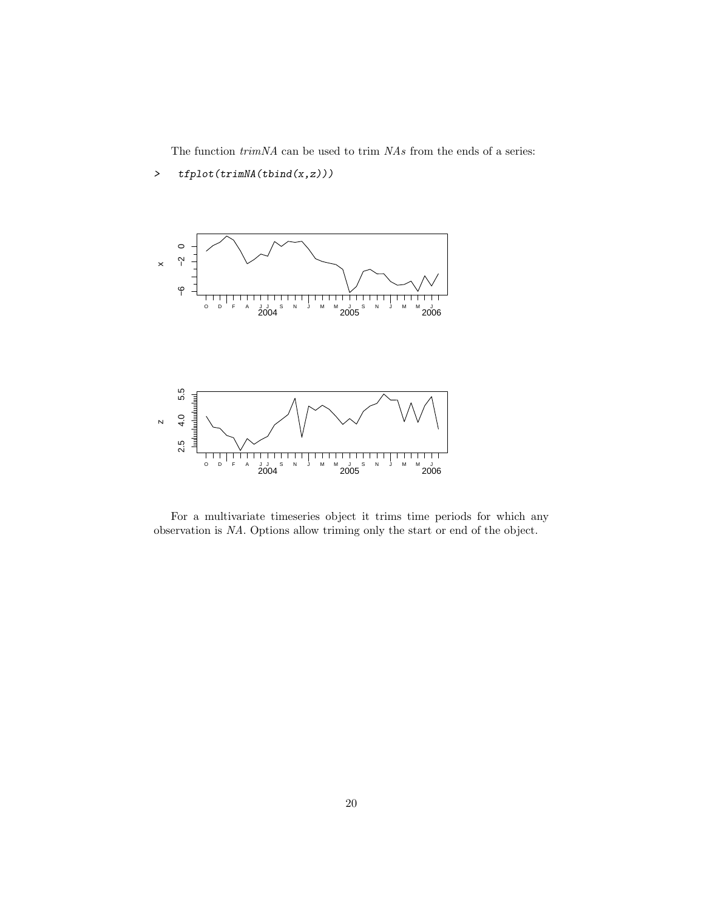The function  $\it trimNA$  can be used to trim  $NAs$  from the ends of a series:



> tfplot(trimNA(tbind(x,z)))

For a multivariate timeseries object it trims time periods for which any observation is NA. Options allow triming only the start or end of the object.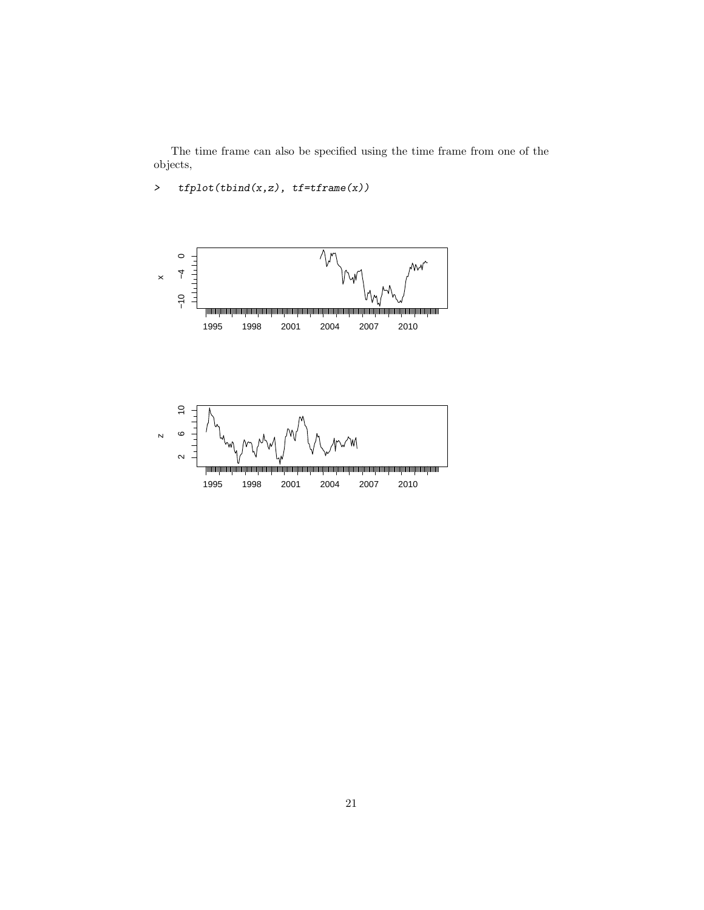The time frame can also be specified using the time frame from one of the objects,



>  $tfplot(tbind(x,z), tf=tframe(x))$